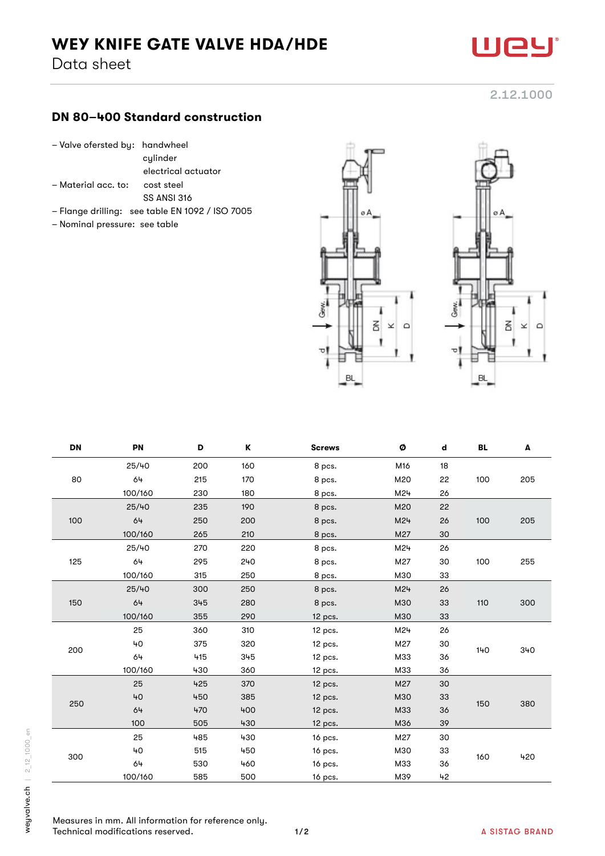## WEY KNIFE GATE VALVE HDA/HDE

Data sheet

## DN 80–400 Standard construction

- Valve ofersted by: handwheel
	- cylinder
		- electrical actuator
- Material acc. to: cost steel
	- SS ANSI 316
- Flange drilling: see table EN 1092 / ISO 7005
- Nominal pressure: see table





| <b>DN</b> | PN      | D   | Κ   | <b>Screws</b> | Ø   | d  | BL  | A   |
|-----------|---------|-----|-----|---------------|-----|----|-----|-----|
| 80        | 25/40   | 200 | 160 | 8 pcs.        | M16 | 18 |     |     |
|           | 64      | 215 | 170 | 8 pcs.        | M20 | 22 | 100 | 205 |
|           | 100/160 | 230 | 180 | 8 pcs.        | M24 | 26 |     |     |
| 100       | 25/40   | 235 | 190 | 8 pcs.        | M20 | 22 |     |     |
|           | 64      | 250 | 200 | 8 pcs.        | M24 | 26 | 100 | 205 |
|           | 100/160 | 265 | 210 | 8 pcs.        | M27 | 30 |     |     |
| 125       | 25/40   | 270 | 220 | 8 pcs.        | M24 | 26 | 100 | 255 |
|           | 64      | 295 | 240 | 8 pcs.        | M27 | 30 |     |     |
|           | 100/160 | 315 | 250 | 8 pcs.        | M30 | 33 |     |     |
| 150       | 25/40   | 300 | 250 | 8 pcs.        | M24 | 26 |     |     |
|           | 64      | 345 | 280 | 8 pcs.        | M30 | 33 | 110 | 300 |
|           | 100/160 | 355 | 290 | 12 pcs.       | M30 | 33 |     |     |
| 200       | 25      | 360 | 310 | 12 pcs.       | M24 | 26 | 140 | 340 |
|           | 40      | 375 | 320 | 12 pcs.       | M27 | 30 |     |     |
|           | 64      | 415 | 345 | 12 pcs.       | M33 | 36 |     |     |
|           | 100/160 | 430 | 360 | $12$ pcs.     | M33 | 36 |     |     |
| 250       | 25      | 425 | 370 | $12$ pcs.     | M27 | 30 | 150 | 380 |
|           | 40      | 450 | 385 | 12 pcs.       | M30 | 33 |     |     |
|           | 64      | 470 | 400 | 12 pcs.       | M33 | 36 |     |     |
|           | 100     | 505 | 430 | 12 pcs.       | M36 | 39 |     |     |
| 300       | 25      | 485 | 430 | 16 pcs.       | M27 | 30 | 160 | 420 |
|           | 40      | 515 | 450 | 16 pcs.       | M30 | 33 |     |     |
|           | 64      | 530 | 460 | 16 pcs.       | M33 | 36 |     |     |
|           | 100/160 | 585 | 500 | 16 pcs.       | M39 | 42 |     |     |